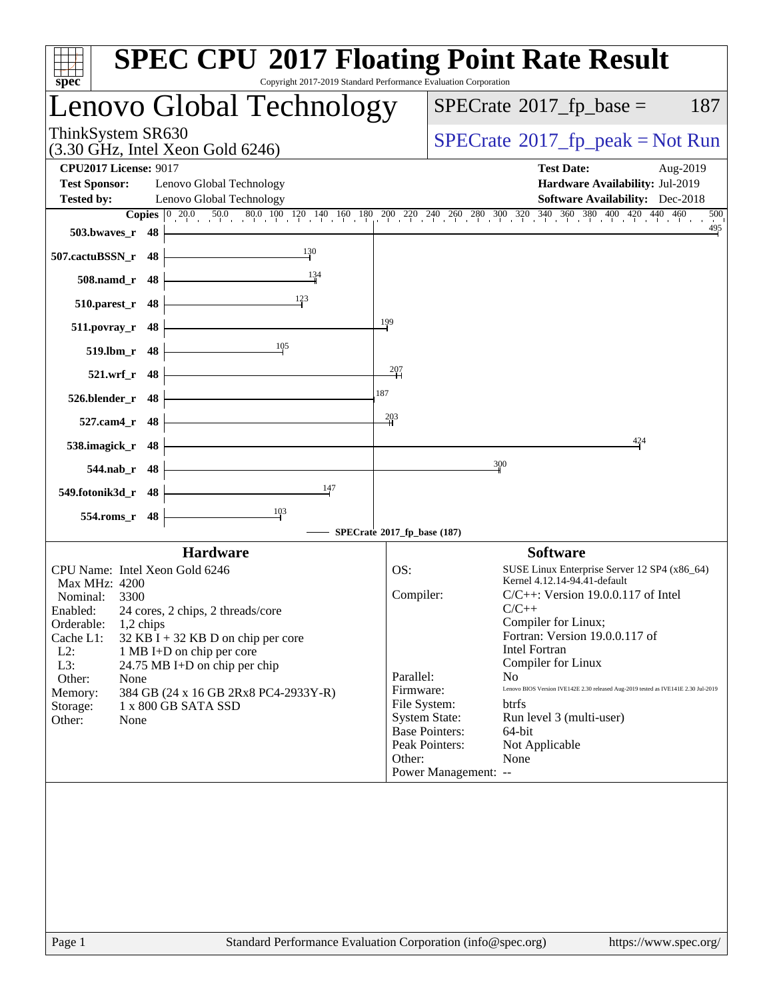| Lenovo Global Technology                                                                                                                                                               |                             |                                           | $SPECrate^{\circ}2017$ _fp_base =<br>187                                                           |  |  |
|----------------------------------------------------------------------------------------------------------------------------------------------------------------------------------------|-----------------------------|-------------------------------------------|----------------------------------------------------------------------------------------------------|--|--|
| ThinkSystem SR630                                                                                                                                                                      |                             | $SPECrate^{\circ}2017$ _fp_peak = Not Run |                                                                                                    |  |  |
| $(3.30 \text{ GHz}, \text{Intel Xeon Gold } 6246)$<br><b>CPU2017 License: 9017</b>                                                                                                     |                             |                                           | <b>Test Date:</b><br>Aug-2019                                                                      |  |  |
| <b>Test Sponsor:</b><br>Lenovo Global Technology                                                                                                                                       |                             |                                           | Hardware Availability: Jul-2019                                                                    |  |  |
| <b>Tested by:</b><br>Lenovo Global Technology                                                                                                                                          |                             |                                           | <b>Software Availability:</b> Dec-2018                                                             |  |  |
| <b>Copies</b> $\begin{bmatrix} 0 & 20.0 & 50.0 & 80.0 & 100 & 120 & 140 & 160 & 180 & 200 & 220 & 240 & 260 & 280 & 300 & 320 & 340 & 360 & 380 & 400 & 420 & 440 & 460 \end{bmatrix}$ |                             |                                           | 500                                                                                                |  |  |
| 503.bwaves_r 48                                                                                                                                                                        |                             |                                           | $\frac{495}{5}$                                                                                    |  |  |
| 130<br>507.cactuBSSN_r 48                                                                                                                                                              |                             |                                           |                                                                                                    |  |  |
| 134<br>508.namd r 48                                                                                                                                                                   |                             |                                           |                                                                                                    |  |  |
| $\frac{123}{2}$<br>$510.parest_r$ 48                                                                                                                                                   |                             |                                           |                                                                                                    |  |  |
| 511.povray_r 48                                                                                                                                                                        | 199                         |                                           |                                                                                                    |  |  |
| $\frac{105}{1}$<br>519.lbm_r 48                                                                                                                                                        |                             |                                           |                                                                                                    |  |  |
|                                                                                                                                                                                        | $\frac{207}{2}$             |                                           |                                                                                                    |  |  |
| 521.wrf_r 48                                                                                                                                                                           | 187                         |                                           |                                                                                                    |  |  |
| 526.blender_r 48                                                                                                                                                                       |                             |                                           |                                                                                                    |  |  |
| 527.cam4_r 48                                                                                                                                                                          | 203                         |                                           |                                                                                                    |  |  |
| 538.imagick_r 48                                                                                                                                                                       |                             |                                           | 424                                                                                                |  |  |
| 544.nab_r 48                                                                                                                                                                           |                             |                                           | 300                                                                                                |  |  |
| 147<br>549.fotonik3d_r 48                                                                                                                                                              |                             |                                           |                                                                                                    |  |  |
| $\frac{103}{ }$<br>554.roms_r 48                                                                                                                                                       |                             |                                           |                                                                                                    |  |  |
|                                                                                                                                                                                        | SPECrate®2017_fp_base (187) |                                           |                                                                                                    |  |  |
| <b>Hardware</b>                                                                                                                                                                        |                             |                                           | <b>Software</b>                                                                                    |  |  |
| CPU Name: Intel Xeon Gold 6246                                                                                                                                                         | OS:                         |                                           | SUSE Linux Enterprise Server 12 SP4 (x86_64)                                                       |  |  |
| Max MHz: 4200<br>Nominal:<br>3300                                                                                                                                                      | Compiler:                   |                                           | Kernel 4.12.14-94.41-default<br>$C/C++$ : Version 19.0.0.117 of Intel                              |  |  |
| Enabled:<br>24 cores, 2 chips, 2 threads/core                                                                                                                                          |                             |                                           | $C/C++$                                                                                            |  |  |
| Orderable:<br>1,2 chips                                                                                                                                                                |                             |                                           | Compiler for Linux;<br>Fortran: Version 19.0.0.117 of                                              |  |  |
| Cache L1:<br>$32$ KB I + 32 KB D on chip per core<br>$L2$ :<br>1 MB I+D on chip per core                                                                                               |                             |                                           | <b>Intel Fortran</b>                                                                               |  |  |
| L3:<br>24.75 MB I+D on chip per chip                                                                                                                                                   |                             |                                           | Compiler for Linux                                                                                 |  |  |
| Other:<br>None                                                                                                                                                                         | Parallel:                   |                                           | No.                                                                                                |  |  |
| 384 GB (24 x 16 GB 2Rx8 PC4-2933Y-R)<br>Memory:                                                                                                                                        | Firmware:                   | File System:                              | Lenovo BIOS Version IVE142E 2.30 released Aug-2019 tested as IVE141E 2.30 Jul-2019<br><b>btrfs</b> |  |  |
| 1 x 800 GB SATA SSD<br>Storage:<br>Other:<br>None                                                                                                                                      |                             | <b>System State:</b>                      | Run level 3 (multi-user)                                                                           |  |  |
|                                                                                                                                                                                        |                             | <b>Base Pointers:</b>                     | $64$ -bit                                                                                          |  |  |
|                                                                                                                                                                                        |                             | Peak Pointers:                            | Not Applicable                                                                                     |  |  |
|                                                                                                                                                                                        | Other:                      | Power Management: --                      | None                                                                                               |  |  |
|                                                                                                                                                                                        |                             |                                           |                                                                                                    |  |  |
|                                                                                                                                                                                        |                             |                                           |                                                                                                    |  |  |
|                                                                                                                                                                                        |                             |                                           |                                                                                                    |  |  |
|                                                                                                                                                                                        |                             |                                           |                                                                                                    |  |  |
|                                                                                                                                                                                        |                             |                                           |                                                                                                    |  |  |
|                                                                                                                                                                                        |                             |                                           |                                                                                                    |  |  |
|                                                                                                                                                                                        |                             |                                           |                                                                                                    |  |  |
|                                                                                                                                                                                        |                             |                                           |                                                                                                    |  |  |
|                                                                                                                                                                                        |                             |                                           | https://www.spec.org/                                                                              |  |  |
| Standard Performance Evaluation Corporation (info@spec.org)<br>Page 1                                                                                                                  |                             |                                           |                                                                                                    |  |  |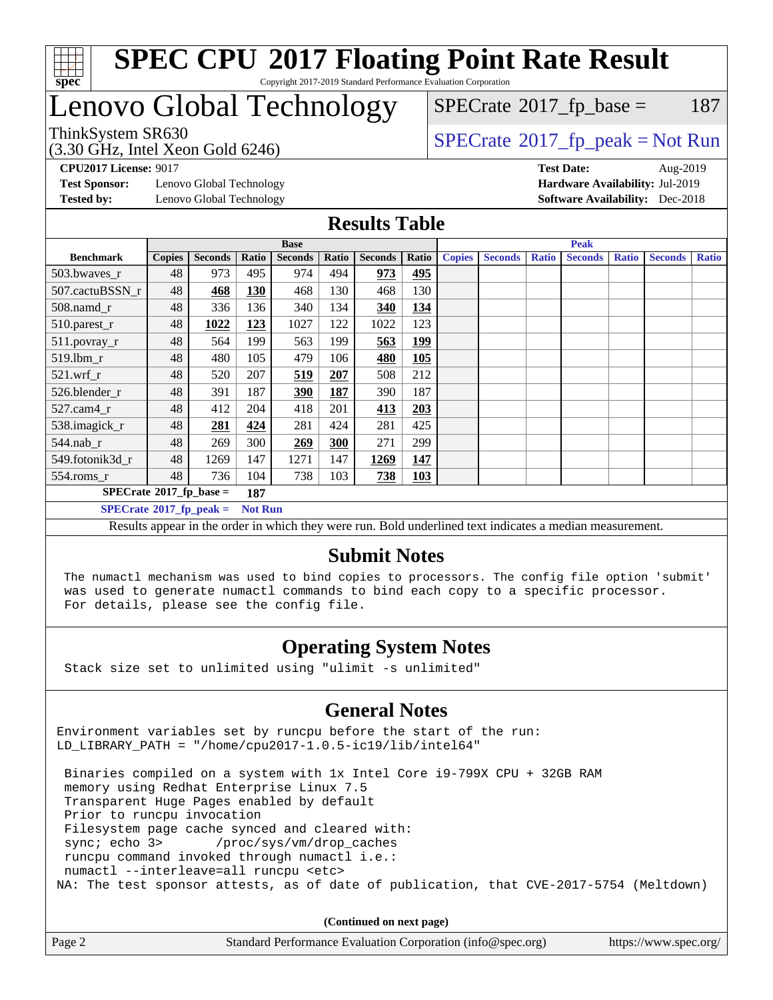

# Lenovo Global Technology

(3.30 GHz, Intel Xeon Gold 6246)

 $SPECTate@2017_fp\_peak = Not Run$  $SPECTate$ <sup>®</sup>[2017\\_fp\\_base =](http://www.spec.org/auto/cpu2017/Docs/result-fields.html#SPECrate2017fpbase) 187

**[Test Sponsor:](http://www.spec.org/auto/cpu2017/Docs/result-fields.html#TestSponsor)** Lenovo Global Technology **[Hardware Availability:](http://www.spec.org/auto/cpu2017/Docs/result-fields.html#HardwareAvailability)** Jul-2019 **[Tested by:](http://www.spec.org/auto/cpu2017/Docs/result-fields.html#Testedby)** Lenovo Global Technology **[Software Availability:](http://www.spec.org/auto/cpu2017/Docs/result-fields.html#SoftwareAvailability)** Dec-2018

**[CPU2017 License:](http://www.spec.org/auto/cpu2017/Docs/result-fields.html#CPU2017License)** 9017 **[Test Date:](http://www.spec.org/auto/cpu2017/Docs/result-fields.html#TestDate)** Aug-2019

#### **[Results Table](http://www.spec.org/auto/cpu2017/Docs/result-fields.html#ResultsTable)**

|                                                    | <b>Base</b>   |                |       |                |       | <b>Peak</b>    |            |               |                |              |                |              |                |              |
|----------------------------------------------------|---------------|----------------|-------|----------------|-------|----------------|------------|---------------|----------------|--------------|----------------|--------------|----------------|--------------|
| <b>Benchmark</b>                                   | <b>Copies</b> | <b>Seconds</b> | Ratio | <b>Seconds</b> | Ratio | <b>Seconds</b> | Ratio      | <b>Copies</b> | <b>Seconds</b> | <b>Ratio</b> | <b>Seconds</b> | <b>Ratio</b> | <b>Seconds</b> | <b>Ratio</b> |
| 503.bwaves_r                                       | 48            | 973            | 495   | 974            | 494   | 973            | 495        |               |                |              |                |              |                |              |
| 507.cactuBSSN r                                    | 48            | 468            | 130   | 468            | 130   | 468            | 130        |               |                |              |                |              |                |              |
| $508$ .namd $r$                                    | 48            | 336            | 136   | 340            | 134   | 340            | 134        |               |                |              |                |              |                |              |
| 510.parest_r                                       | 48            | 1022           | 123   | 1027           | 122   | 1022           | 123        |               |                |              |                |              |                |              |
| 511.povray_r                                       | 48            | 564            | 199   | 563            | 199   | 563            | 199        |               |                |              |                |              |                |              |
| 519.1bm_r                                          | 48            | 480            | 105   | 479            | 106   | 480            | 105        |               |                |              |                |              |                |              |
| $521$ .wrf r                                       | 48            | 520            | 207   | 519            | 207   | 508            | 212        |               |                |              |                |              |                |              |
| 526.blender_r                                      | 48            | 391            | 187   | <u>390</u>     | 187   | 390            | 187        |               |                |              |                |              |                |              |
| $527$ .cam $4r$                                    | 48            | 412            | 204   | 418            | 201   | 413            | 203        |               |                |              |                |              |                |              |
| 538.imagick_r                                      | 48            | 281            | 424   | 281            | 424   | 281            | 425        |               |                |              |                |              |                |              |
| $544$ .nab_r                                       | 48            | 269            | 300   | 269            | 300   | 271            | 299        |               |                |              |                |              |                |              |
| 549.fotonik3d r                                    | 48            | 1269           | 147   | 1271           | 147   | 1269           | 147        |               |                |              |                |              |                |              |
| $554$ .roms_r                                      | 48            | 736            | 104   | 738            | 103   | 738            | <b>103</b> |               |                |              |                |              |                |              |
| $SPECrate^{\otimes}2017$ fp base =<br>187          |               |                |       |                |       |                |            |               |                |              |                |              |                |              |
| $SPECrate^{\circ}2017$ fp peak =<br><b>Not Run</b> |               |                |       |                |       |                |            |               |                |              |                |              |                |              |

Results appear in the [order in which they were run](http://www.spec.org/auto/cpu2017/Docs/result-fields.html#RunOrder). Bold underlined text [indicates a median measurement](http://www.spec.org/auto/cpu2017/Docs/result-fields.html#Median).

### **[Submit Notes](http://www.spec.org/auto/cpu2017/Docs/result-fields.html#SubmitNotes)**

 The numactl mechanism was used to bind copies to processors. The config file option 'submit' was used to generate numactl commands to bind each copy to a specific processor. For details, please see the config file.

### **[Operating System Notes](http://www.spec.org/auto/cpu2017/Docs/result-fields.html#OperatingSystemNotes)**

Stack size set to unlimited using "ulimit -s unlimited"

#### **[General Notes](http://www.spec.org/auto/cpu2017/Docs/result-fields.html#GeneralNotes)**

Environment variables set by runcpu before the start of the run: LD LIBRARY PATH = "/home/cpu2017-1.0.5-ic19/lib/intel64"

 Binaries compiled on a system with 1x Intel Core i9-799X CPU + 32GB RAM memory using Redhat Enterprise Linux 7.5 Transparent Huge Pages enabled by default Prior to runcpu invocation Filesystem page cache synced and cleared with: sync; echo 3> /proc/sys/vm/drop\_caches runcpu command invoked through numactl i.e.: numactl --interleave=all runcpu <etc> NA: The test sponsor attests, as of date of publication, that CVE-2017-5754 (Meltdown)

**(Continued on next page)**

| Page 2 | Standard Performance Evaluation Corporation (info@spec.org) | https://www.spec.org/ |
|--------|-------------------------------------------------------------|-----------------------|
|--------|-------------------------------------------------------------|-----------------------|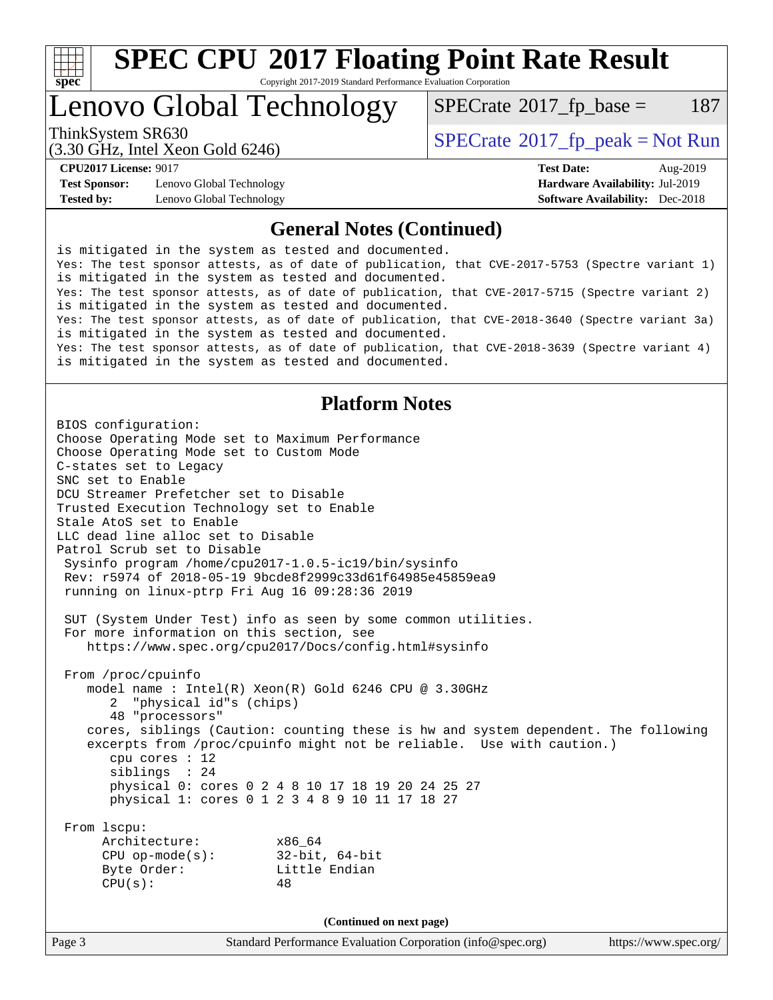

# **[SPEC CPU](http://www.spec.org/auto/cpu2017/Docs/result-fields.html#SPECCPU2017FloatingPointRateResult)[2017 Floating Point Rate Result](http://www.spec.org/auto/cpu2017/Docs/result-fields.html#SPECCPU2017FloatingPointRateResult)**

Copyright 2017-2019 Standard Performance Evaluation Corporation

# Lenovo Global Technology

 $SPECTate$ <sup>®</sup>[2017\\_fp\\_base =](http://www.spec.org/auto/cpu2017/Docs/result-fields.html#SPECrate2017fpbase) 187

(3.30 GHz, Intel Xeon Gold 6246)

ThinkSystem SR630<br>  $SPECTI<sub>2</sub>120 CLI<sub>2</sub>1452152$  [SPECrate](http://www.spec.org/auto/cpu2017/Docs/result-fields.html#SPECrate2017fppeak)®[2017\\_fp\\_peak = N](http://www.spec.org/auto/cpu2017/Docs/result-fields.html#SPECrate2017fppeak)ot Run

**[Test Sponsor:](http://www.spec.org/auto/cpu2017/Docs/result-fields.html#TestSponsor)** Lenovo Global Technology **[Hardware Availability:](http://www.spec.org/auto/cpu2017/Docs/result-fields.html#HardwareAvailability)** Jul-2019 **[Tested by:](http://www.spec.org/auto/cpu2017/Docs/result-fields.html#Testedby)** Lenovo Global Technology **[Software Availability:](http://www.spec.org/auto/cpu2017/Docs/result-fields.html#SoftwareAvailability)** Dec-2018

**[CPU2017 License:](http://www.spec.org/auto/cpu2017/Docs/result-fields.html#CPU2017License)** 9017 **[Test Date:](http://www.spec.org/auto/cpu2017/Docs/result-fields.html#TestDate)** Aug-2019

### **[General Notes \(Continued\)](http://www.spec.org/auto/cpu2017/Docs/result-fields.html#GeneralNotes)**

is mitigated in the system as tested and documented. Yes: The test sponsor attests, as of date of publication, that CVE-2017-5753 (Spectre variant 1) is mitigated in the system as tested and documented. Yes: The test sponsor attests, as of date of publication, that CVE-2017-5715 (Spectre variant 2) is mitigated in the system as tested and documented. Yes: The test sponsor attests, as of date of publication, that CVE-2018-3640 (Spectre variant 3a) is mitigated in the system as tested and documented. Yes: The test sponsor attests, as of date of publication, that CVE-2018-3639 (Spectre variant 4) is mitigated in the system as tested and documented.

### **[Platform Notes](http://www.spec.org/auto/cpu2017/Docs/result-fields.html#PlatformNotes)**

Page 3 Standard Performance Evaluation Corporation [\(info@spec.org\)](mailto:info@spec.org) <https://www.spec.org/> BIOS configuration: Choose Operating Mode set to Maximum Performance Choose Operating Mode set to Custom Mode C-states set to Legacy SNC set to Enable DCU Streamer Prefetcher set to Disable Trusted Execution Technology set to Enable Stale AtoS set to Enable LLC dead line alloc set to Disable Patrol Scrub set to Disable Sysinfo program /home/cpu2017-1.0.5-ic19/bin/sysinfo Rev: r5974 of 2018-05-19 9bcde8f2999c33d61f64985e45859ea9 running on linux-ptrp Fri Aug 16 09:28:36 2019 SUT (System Under Test) info as seen by some common utilities. For more information on this section, see <https://www.spec.org/cpu2017/Docs/config.html#sysinfo> From /proc/cpuinfo model name : Intel(R) Xeon(R) Gold 6246 CPU @ 3.30GHz 2 "physical id"s (chips) 48 "processors" cores, siblings (Caution: counting these is hw and system dependent. The following excerpts from /proc/cpuinfo might not be reliable. Use with caution.) cpu cores : 12 siblings : 24 physical 0: cores 0 2 4 8 10 17 18 19 20 24 25 27 physical 1: cores 0 1 2 3 4 8 9 10 11 17 18 27 From lscpu: Architecture: x86\_64 CPU op-mode(s): 32-bit, 64-bit Byte Order: Little Endian  $CPU(s):$  48 **(Continued on next page)**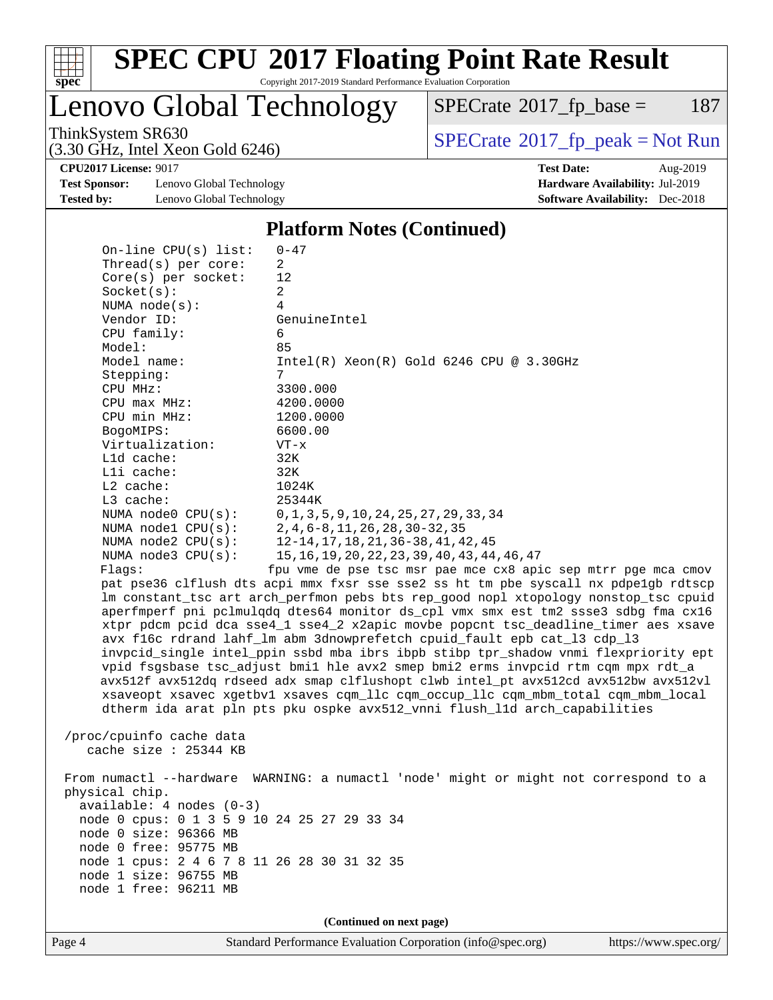

Lenovo Global Technology

 $SPECTate$ <sup>®</sup>[2017\\_fp\\_base =](http://www.spec.org/auto/cpu2017/Docs/result-fields.html#SPECrate2017fpbase) 187

(3.30 GHz, Intel Xeon Gold 6246)

ThinkSystem SR630<br>  $\begin{array}{c}\n\text{SPECrate} \textcirc 2017\_fp\_peak = Not Run \\
\text{SPECrate} \textcirc 2017\_fp\_peak = Not Run\n\end{array}$  $\begin{array}{c}\n\text{SPECrate} \textcirc 2017\_fp\_peak = Not Run \\
\text{SPECrate} \textcirc 2017\_fp\_peak = Not Run\n\end{array}$  $\begin{array}{c}\n\text{SPECrate} \textcirc 2017\_fp\_peak = Not Run \\
\text{SPECrate} \textcirc 2017\_fp\_peak = Not Run\n\end{array}$ 

**[Test Sponsor:](http://www.spec.org/auto/cpu2017/Docs/result-fields.html#TestSponsor)** Lenovo Global Technology **[Hardware Availability:](http://www.spec.org/auto/cpu2017/Docs/result-fields.html#HardwareAvailability)** Jul-2019 **[Tested by:](http://www.spec.org/auto/cpu2017/Docs/result-fields.html#Testedby)** Lenovo Global Technology **[Software Availability:](http://www.spec.org/auto/cpu2017/Docs/result-fields.html#SoftwareAvailability)** Dec-2018

**[CPU2017 License:](http://www.spec.org/auto/cpu2017/Docs/result-fields.html#CPU2017License)** 9017 **[Test Date:](http://www.spec.org/auto/cpu2017/Docs/result-fields.html#TestDate)** Aug-2019

#### **[Platform Notes \(Continued\)](http://www.spec.org/auto/cpu2017/Docs/result-fields.html#PlatformNotes)**

Page 4 Standard Performance Evaluation Corporation [\(info@spec.org\)](mailto:info@spec.org) <https://www.spec.org/> On-line CPU(s) list: 0-47 Thread(s) per core: 2 Core(s) per socket: 12 Socket(s): 2 NUMA node(s): 4 Vendor ID: GenuineIntel CPU family: 6 Model: 85 Model name: Intel(R) Xeon(R) Gold 6246 CPU @ 3.30GHz Stepping: 7 CPU MHz: 3300.000 CPU max MHz: 4200.0000 CPU min MHz: 1200.0000 BogoMIPS: 6600.00 Virtualization: VT-x L1d cache: 32K L1i cache: 32K L2 cache: 1024K L3 cache: 25344K NUMA node0 CPU(s): 0,1,3,5,9,10,24,25,27,29,33,34 NUMA node1 CPU(s): 2,4,6-8,11,26,28,30-32,35 NUMA node2 CPU(s): 12-14,17,18,21,36-38,41,42,45 NUMA node3 CPU(s): 15,16,19,20,22,23,39,40,43,44,46,47 Flags: fpu vme de pse tsc msr pae mce cx8 apic sep mtrr pge mca cmov pat pse36 clflush dts acpi mmx fxsr sse sse2 ss ht tm pbe syscall nx pdpe1gb rdtscp lm constant\_tsc art arch\_perfmon pebs bts rep\_good nopl xtopology nonstop\_tsc cpuid aperfmperf pni pclmulqdq dtes64 monitor ds\_cpl vmx smx est tm2 ssse3 sdbg fma cx16 xtpr pdcm pcid dca sse4\_1 sse4\_2 x2apic movbe popcnt tsc\_deadline\_timer aes xsave avx f16c rdrand lahf\_lm abm 3dnowprefetch cpuid\_fault epb cat\_l3 cdp\_l3 invpcid\_single intel\_ppin ssbd mba ibrs ibpb stibp tpr\_shadow vnmi flexpriority ept vpid fsgsbase tsc\_adjust bmi1 hle avx2 smep bmi2 erms invpcid rtm cqm mpx rdt\_a avx512f avx512dq rdseed adx smap clflushopt clwb intel\_pt avx512cd avx512bw avx512vl xsaveopt xsavec xgetbv1 xsaves cqm\_llc cqm\_occup\_llc cqm\_mbm\_total cqm\_mbm\_local dtherm ida arat pln pts pku ospke avx512\_vnni flush\_l1d arch\_capabilities /proc/cpuinfo cache data cache size : 25344 KB From numactl --hardware WARNING: a numactl 'node' might or might not correspond to a physical chip. available: 4 nodes (0-3) node 0 cpus: 0 1 3 5 9 10 24 25 27 29 33 34 node 0 size: 96366 MB node 0 free: 95775 MB node 1 cpus: 2 4 6 7 8 11 26 28 30 31 32 35 node 1 size: 96755 MB node 1 free: 96211 MB **(Continued on next page)**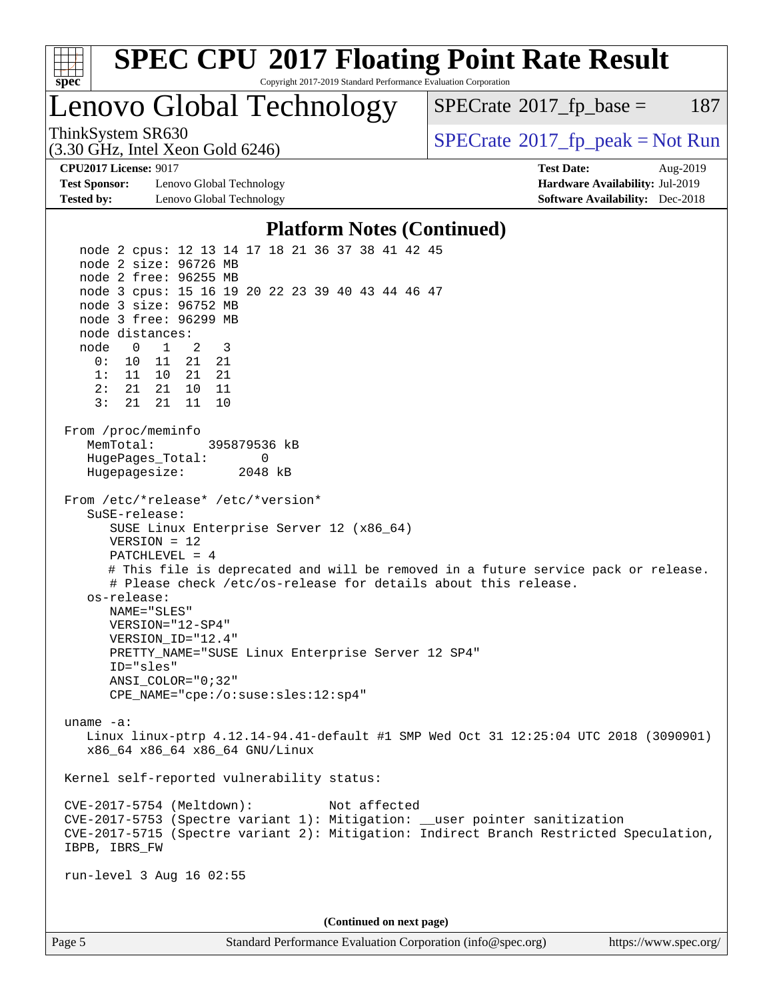

Page 5 Standard Performance Evaluation Corporation [\(info@spec.org\)](mailto:info@spec.org) <https://www.spec.org/>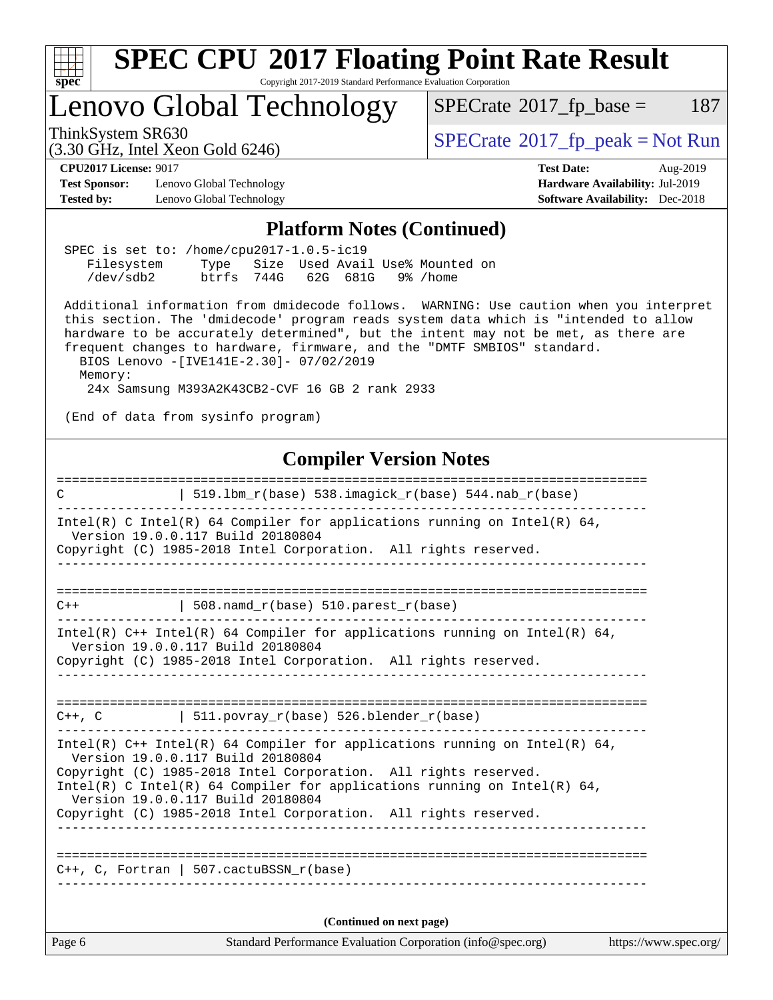

Intel(R) C++ Intel(R) 64 Compiler for applications running on Intel(R)  $64$ , Version 19.0.0.117 Build 20180804

Copyright (C) 1985-2018 Intel Corporation. All rights reserved. ------------------------------------------------------------------------------

==============================================================================  $C++$ , C  $| 511.povray_r(base) 526.blender_r(base)$ ------------------------------------------------------------------------------

Intel(R) C++ Intel(R) 64 Compiler for applications running on Intel(R)  $64$ , Version 19.0.0.117 Build 20180804 Copyright (C) 1985-2018 Intel Corporation. All rights reserved.

Intel(R) C Intel(R) 64 Compiler for applications running on Intel(R)  $64$ , Version 19.0.0.117 Build 20180804

Copyright (C) 1985-2018 Intel Corporation. All rights reserved. ------------------------------------------------------------------------------

============================================================================== C++, C, Fortran | 507.cactuBSSN\_r(base) ------------------------------------------------------------------------------

**(Continued on next page)**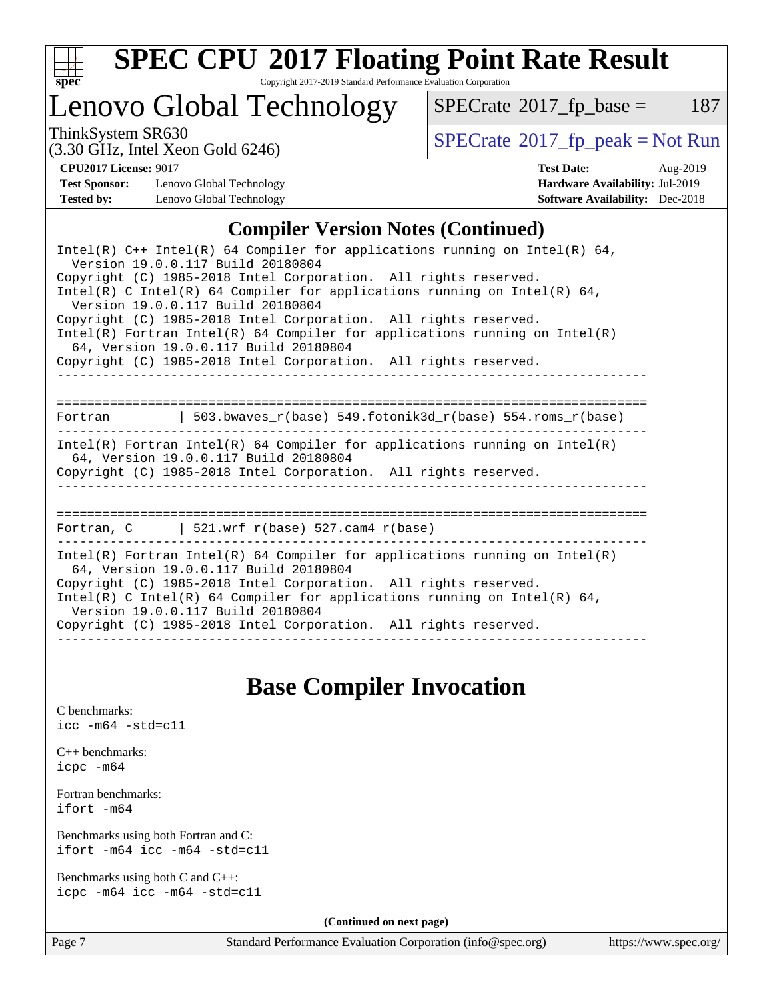

# **[SPEC CPU](http://www.spec.org/auto/cpu2017/Docs/result-fields.html#SPECCPU2017FloatingPointRateResult)[2017 Floating Point Rate Result](http://www.spec.org/auto/cpu2017/Docs/result-fields.html#SPECCPU2017FloatingPointRateResult)**

Copyright 2017-2019 Standard Performance Evaluation Corporation

## Lenovo Global Technology

 $SPECTate@2017_fp\_base = 187$ 

(3.30 GHz, Intel Xeon Gold 6246)

ThinkSystem SR630<br>  $\begin{array}{c}\n\text{SPECrate} \textcirc 2017\_fp\_peak = Not Run \\
\text{SPECrate} \textcirc 2017\_fp\_peak = Not Run\n\end{array}$  $\begin{array}{c}\n\text{SPECrate} \textcirc 2017\_fp\_peak = Not Run \\
\text{SPECrate} \textcirc 2017\_fp\_peak = Not Run\n\end{array}$  $\begin{array}{c}\n\text{SPECrate} \textcirc 2017\_fp\_peak = Not Run \\
\text{SPECrate} \textcirc 2017\_fp\_peak = Not Run\n\end{array}$ 

**[Test Sponsor:](http://www.spec.org/auto/cpu2017/Docs/result-fields.html#TestSponsor)** Lenovo Global Technology **[Hardware Availability:](http://www.spec.org/auto/cpu2017/Docs/result-fields.html#HardwareAvailability)** Jul-2019 **[Tested by:](http://www.spec.org/auto/cpu2017/Docs/result-fields.html#Testedby)** Lenovo Global Technology **[Software Availability:](http://www.spec.org/auto/cpu2017/Docs/result-fields.html#SoftwareAvailability)** Dec-2018

**[CPU2017 License:](http://www.spec.org/auto/cpu2017/Docs/result-fields.html#CPU2017License)** 9017 **[Test Date:](http://www.spec.org/auto/cpu2017/Docs/result-fields.html#TestDate)** Aug-2019

### **[Compiler Version Notes \(Continued\)](http://www.spec.org/auto/cpu2017/Docs/result-fields.html#CompilerVersionNotes)**

| Intel(R) $C++$ Intel(R) 64 Compiler for applications running on Intel(R) 64,<br>Version 19.0.0.117 Build 20180804                                                                                                                                                                                                                                                          |  |  |  |  |  |  |  |
|----------------------------------------------------------------------------------------------------------------------------------------------------------------------------------------------------------------------------------------------------------------------------------------------------------------------------------------------------------------------------|--|--|--|--|--|--|--|
| Copyright (C) 1985-2018 Intel Corporation. All rights reserved.<br>Intel(R) C Intel(R) 64 Compiler for applications running on Intel(R) 64,<br>Version 19.0.0.117 Build 20180804                                                                                                                                                                                           |  |  |  |  |  |  |  |
| Copyright (C) 1985-2018 Intel Corporation. All rights reserved.<br>$Intel(R)$ Fortran Intel(R) 64 Compiler for applications running on Intel(R)<br>64, Version 19.0.0.117 Build 20180804                                                                                                                                                                                   |  |  |  |  |  |  |  |
| Copyright (C) 1985-2018 Intel Corporation. All rights reserved.                                                                                                                                                                                                                                                                                                            |  |  |  |  |  |  |  |
| ---------------------------                                                                                                                                                                                                                                                                                                                                                |  |  |  |  |  |  |  |
| Fortran $\vert$ 503.bwaves r(base) 549.fotonik3d r(base) 554.roms r(base)                                                                                                                                                                                                                                                                                                  |  |  |  |  |  |  |  |
| $Intel(R)$ Fortran Intel(R) 64 Compiler for applications running on Intel(R)<br>64, Version 19.0.0.117 Build 20180804<br>Copyright (C) 1985-2018 Intel Corporation. All rights reserved.                                                                                                                                                                                   |  |  |  |  |  |  |  |
|                                                                                                                                                                                                                                                                                                                                                                            |  |  |  |  |  |  |  |
| Fortran, $C$   521.wrf $r(base)$ 527.cam4 $r(base)$                                                                                                                                                                                                                                                                                                                        |  |  |  |  |  |  |  |
| Intel(R) Fortran Intel(R) 64 Compiler for applications running on Intel(R)<br>64, Version 19.0.0.117 Build 20180804<br>Copyright (C) 1985-2018 Intel Corporation. All rights reserved.<br>Intel(R) C Intel(R) 64 Compiler for applications running on Intel(R) 64,<br>Version 19.0.0.117 Build 20180804<br>Copyright (C) 1985-2018 Intel Corporation. All rights reserved. |  |  |  |  |  |  |  |
|                                                                                                                                                                                                                                                                                                                                                                            |  |  |  |  |  |  |  |

## **[Base Compiler Invocation](http://www.spec.org/auto/cpu2017/Docs/result-fields.html#BaseCompilerInvocation)**

[C benchmarks](http://www.spec.org/auto/cpu2017/Docs/result-fields.html#Cbenchmarks): [icc -m64 -std=c11](http://www.spec.org/cpu2017/results/res2019q3/cpu2017-20190819-17100.flags.html#user_CCbase_intel_icc_64bit_c11_33ee0cdaae7deeeab2a9725423ba97205ce30f63b9926c2519791662299b76a0318f32ddfffdc46587804de3178b4f9328c46fa7c2b0cd779d7a61945c91cd35)

[C++ benchmarks:](http://www.spec.org/auto/cpu2017/Docs/result-fields.html#CXXbenchmarks) [icpc -m64](http://www.spec.org/cpu2017/results/res2019q3/cpu2017-20190819-17100.flags.html#user_CXXbase_intel_icpc_64bit_4ecb2543ae3f1412ef961e0650ca070fec7b7afdcd6ed48761b84423119d1bf6bdf5cad15b44d48e7256388bc77273b966e5eb805aefd121eb22e9299b2ec9d9)

[Fortran benchmarks](http://www.spec.org/auto/cpu2017/Docs/result-fields.html#Fortranbenchmarks): [ifort -m64](http://www.spec.org/cpu2017/results/res2019q3/cpu2017-20190819-17100.flags.html#user_FCbase_intel_ifort_64bit_24f2bb282fbaeffd6157abe4f878425411749daecae9a33200eee2bee2fe76f3b89351d69a8130dd5949958ce389cf37ff59a95e7a40d588e8d3a57e0c3fd751)

|  |  | Benchmarks using both Fortran and C: |
|--|--|--------------------------------------|
|  |  | ifort $-m64$ icc $-m64$ $-std= c11$  |

[Benchmarks using both C and C++](http://www.spec.org/auto/cpu2017/Docs/result-fields.html#BenchmarksusingbothCandCXX): [icpc -m64](http://www.spec.org/cpu2017/results/res2019q3/cpu2017-20190819-17100.flags.html#user_CC_CXXbase_intel_icpc_64bit_4ecb2543ae3f1412ef961e0650ca070fec7b7afdcd6ed48761b84423119d1bf6bdf5cad15b44d48e7256388bc77273b966e5eb805aefd121eb22e9299b2ec9d9) [icc -m64 -std=c11](http://www.spec.org/cpu2017/results/res2019q3/cpu2017-20190819-17100.flags.html#user_CC_CXXbase_intel_icc_64bit_c11_33ee0cdaae7deeeab2a9725423ba97205ce30f63b9926c2519791662299b76a0318f32ddfffdc46587804de3178b4f9328c46fa7c2b0cd779d7a61945c91cd35)

**(Continued on next page)**

Page 7 Standard Performance Evaluation Corporation [\(info@spec.org\)](mailto:info@spec.org) <https://www.spec.org/>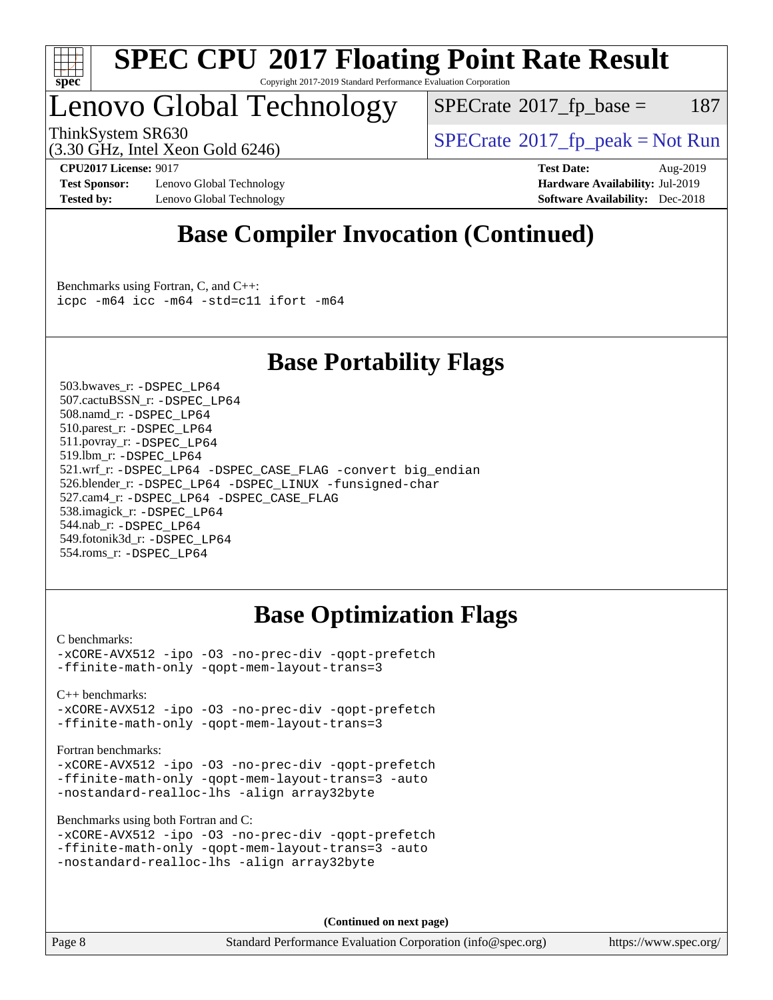

# Lenovo Global Technology

 $SPECTate$ <sup>®</sup>[2017\\_fp\\_base =](http://www.spec.org/auto/cpu2017/Docs/result-fields.html#SPECrate2017fpbase) 187

(3.30 GHz, Intel Xeon Gold 6246)

ThinkSystem SR630<br>  $\begin{array}{c}\n\text{SPECrate} \textcirc 2017\_fp\_peak = Not Run \\
\text{SPECrate} \textcirc 2017\_fp\_peak = Not Run\n\end{array}$  $\begin{array}{c}\n\text{SPECrate} \textcirc 2017\_fp\_peak = Not Run \\
\text{SPECrate} \textcirc 2017\_fp\_peak = Not Run\n\end{array}$  $\begin{array}{c}\n\text{SPECrate} \textcirc 2017\_fp\_peak = Not Run \\
\text{SPECrate} \textcirc 2017\_fp\_peak = Not Run\n\end{array}$ 

**[Test Sponsor:](http://www.spec.org/auto/cpu2017/Docs/result-fields.html#TestSponsor)** Lenovo Global Technology **[Hardware Availability:](http://www.spec.org/auto/cpu2017/Docs/result-fields.html#HardwareAvailability)** Jul-2019 **[Tested by:](http://www.spec.org/auto/cpu2017/Docs/result-fields.html#Testedby)** Lenovo Global Technology **[Software Availability:](http://www.spec.org/auto/cpu2017/Docs/result-fields.html#SoftwareAvailability)** Dec-2018

**[CPU2017 License:](http://www.spec.org/auto/cpu2017/Docs/result-fields.html#CPU2017License)** 9017 **[Test Date:](http://www.spec.org/auto/cpu2017/Docs/result-fields.html#TestDate)** Aug-2019

## **[Base Compiler Invocation \(Continued\)](http://www.spec.org/auto/cpu2017/Docs/result-fields.html#BaseCompilerInvocation)**

[Benchmarks using Fortran, C, and C++:](http://www.spec.org/auto/cpu2017/Docs/result-fields.html#BenchmarksusingFortranCandCXX) [icpc -m64](http://www.spec.org/cpu2017/results/res2019q3/cpu2017-20190819-17100.flags.html#user_CC_CXX_FCbase_intel_icpc_64bit_4ecb2543ae3f1412ef961e0650ca070fec7b7afdcd6ed48761b84423119d1bf6bdf5cad15b44d48e7256388bc77273b966e5eb805aefd121eb22e9299b2ec9d9) [icc -m64 -std=c11](http://www.spec.org/cpu2017/results/res2019q3/cpu2017-20190819-17100.flags.html#user_CC_CXX_FCbase_intel_icc_64bit_c11_33ee0cdaae7deeeab2a9725423ba97205ce30f63b9926c2519791662299b76a0318f32ddfffdc46587804de3178b4f9328c46fa7c2b0cd779d7a61945c91cd35) [ifort -m64](http://www.spec.org/cpu2017/results/res2019q3/cpu2017-20190819-17100.flags.html#user_CC_CXX_FCbase_intel_ifort_64bit_24f2bb282fbaeffd6157abe4f878425411749daecae9a33200eee2bee2fe76f3b89351d69a8130dd5949958ce389cf37ff59a95e7a40d588e8d3a57e0c3fd751)

## **[Base Portability Flags](http://www.spec.org/auto/cpu2017/Docs/result-fields.html#BasePortabilityFlags)**

 503.bwaves\_r: [-DSPEC\\_LP64](http://www.spec.org/cpu2017/results/res2019q3/cpu2017-20190819-17100.flags.html#suite_basePORTABILITY503_bwaves_r_DSPEC_LP64) 507.cactuBSSN\_r: [-DSPEC\\_LP64](http://www.spec.org/cpu2017/results/res2019q3/cpu2017-20190819-17100.flags.html#suite_basePORTABILITY507_cactuBSSN_r_DSPEC_LP64) 508.namd\_r: [-DSPEC\\_LP64](http://www.spec.org/cpu2017/results/res2019q3/cpu2017-20190819-17100.flags.html#suite_basePORTABILITY508_namd_r_DSPEC_LP64) 510.parest\_r: [-DSPEC\\_LP64](http://www.spec.org/cpu2017/results/res2019q3/cpu2017-20190819-17100.flags.html#suite_basePORTABILITY510_parest_r_DSPEC_LP64) 511.povray\_r: [-DSPEC\\_LP64](http://www.spec.org/cpu2017/results/res2019q3/cpu2017-20190819-17100.flags.html#suite_basePORTABILITY511_povray_r_DSPEC_LP64) 519.lbm\_r: [-DSPEC\\_LP64](http://www.spec.org/cpu2017/results/res2019q3/cpu2017-20190819-17100.flags.html#suite_basePORTABILITY519_lbm_r_DSPEC_LP64) 521.wrf\_r: [-DSPEC\\_LP64](http://www.spec.org/cpu2017/results/res2019q3/cpu2017-20190819-17100.flags.html#suite_basePORTABILITY521_wrf_r_DSPEC_LP64) [-DSPEC\\_CASE\\_FLAG](http://www.spec.org/cpu2017/results/res2019q3/cpu2017-20190819-17100.flags.html#b521.wrf_r_baseCPORTABILITY_DSPEC_CASE_FLAG) [-convert big\\_endian](http://www.spec.org/cpu2017/results/res2019q3/cpu2017-20190819-17100.flags.html#user_baseFPORTABILITY521_wrf_r_convert_big_endian_c3194028bc08c63ac5d04de18c48ce6d347e4e562e8892b8bdbdc0214820426deb8554edfa529a3fb25a586e65a3d812c835984020483e7e73212c4d31a38223) 526.blender\_r: [-DSPEC\\_LP64](http://www.spec.org/cpu2017/results/res2019q3/cpu2017-20190819-17100.flags.html#suite_basePORTABILITY526_blender_r_DSPEC_LP64) [-DSPEC\\_LINUX](http://www.spec.org/cpu2017/results/res2019q3/cpu2017-20190819-17100.flags.html#b526.blender_r_baseCPORTABILITY_DSPEC_LINUX) [-funsigned-char](http://www.spec.org/cpu2017/results/res2019q3/cpu2017-20190819-17100.flags.html#user_baseCPORTABILITY526_blender_r_force_uchar_40c60f00ab013830e2dd6774aeded3ff59883ba5a1fc5fc14077f794d777847726e2a5858cbc7672e36e1b067e7e5c1d9a74f7176df07886a243d7cc18edfe67) 527.cam4\_r: [-DSPEC\\_LP64](http://www.spec.org/cpu2017/results/res2019q3/cpu2017-20190819-17100.flags.html#suite_basePORTABILITY527_cam4_r_DSPEC_LP64) [-DSPEC\\_CASE\\_FLAG](http://www.spec.org/cpu2017/results/res2019q3/cpu2017-20190819-17100.flags.html#b527.cam4_r_baseCPORTABILITY_DSPEC_CASE_FLAG) 538.imagick\_r: [-DSPEC\\_LP64](http://www.spec.org/cpu2017/results/res2019q3/cpu2017-20190819-17100.flags.html#suite_basePORTABILITY538_imagick_r_DSPEC_LP64) 544.nab\_r: [-DSPEC\\_LP64](http://www.spec.org/cpu2017/results/res2019q3/cpu2017-20190819-17100.flags.html#suite_basePORTABILITY544_nab_r_DSPEC_LP64) 549.fotonik3d\_r: [-DSPEC\\_LP64](http://www.spec.org/cpu2017/results/res2019q3/cpu2017-20190819-17100.flags.html#suite_basePORTABILITY549_fotonik3d_r_DSPEC_LP64) 554.roms\_r: [-DSPEC\\_LP64](http://www.spec.org/cpu2017/results/res2019q3/cpu2017-20190819-17100.flags.html#suite_basePORTABILITY554_roms_r_DSPEC_LP64)

## **[Base Optimization Flags](http://www.spec.org/auto/cpu2017/Docs/result-fields.html#BaseOptimizationFlags)**

#### [C benchmarks](http://www.spec.org/auto/cpu2017/Docs/result-fields.html#Cbenchmarks):

[-xCORE-AVX512](http://www.spec.org/cpu2017/results/res2019q3/cpu2017-20190819-17100.flags.html#user_CCbase_f-xCORE-AVX512) [-ipo](http://www.spec.org/cpu2017/results/res2019q3/cpu2017-20190819-17100.flags.html#user_CCbase_f-ipo) [-O3](http://www.spec.org/cpu2017/results/res2019q3/cpu2017-20190819-17100.flags.html#user_CCbase_f-O3) [-no-prec-div](http://www.spec.org/cpu2017/results/res2019q3/cpu2017-20190819-17100.flags.html#user_CCbase_f-no-prec-div) [-qopt-prefetch](http://www.spec.org/cpu2017/results/res2019q3/cpu2017-20190819-17100.flags.html#user_CCbase_f-qopt-prefetch) [-ffinite-math-only](http://www.spec.org/cpu2017/results/res2019q3/cpu2017-20190819-17100.flags.html#user_CCbase_f_finite_math_only_cb91587bd2077682c4b38af759c288ed7c732db004271a9512da14a4f8007909a5f1427ecbf1a0fb78ff2a814402c6114ac565ca162485bbcae155b5e4258871) [-qopt-mem-layout-trans=3](http://www.spec.org/cpu2017/results/res2019q3/cpu2017-20190819-17100.flags.html#user_CCbase_f-qopt-mem-layout-trans_de80db37974c74b1f0e20d883f0b675c88c3b01e9d123adea9b28688d64333345fb62bc4a798493513fdb68f60282f9a726aa07f478b2f7113531aecce732043)

[C++ benchmarks:](http://www.spec.org/auto/cpu2017/Docs/result-fields.html#CXXbenchmarks) [-xCORE-AVX512](http://www.spec.org/cpu2017/results/res2019q3/cpu2017-20190819-17100.flags.html#user_CXXbase_f-xCORE-AVX512) [-ipo](http://www.spec.org/cpu2017/results/res2019q3/cpu2017-20190819-17100.flags.html#user_CXXbase_f-ipo) [-O3](http://www.spec.org/cpu2017/results/res2019q3/cpu2017-20190819-17100.flags.html#user_CXXbase_f-O3) [-no-prec-div](http://www.spec.org/cpu2017/results/res2019q3/cpu2017-20190819-17100.flags.html#user_CXXbase_f-no-prec-div) [-qopt-prefetch](http://www.spec.org/cpu2017/results/res2019q3/cpu2017-20190819-17100.flags.html#user_CXXbase_f-qopt-prefetch) [-ffinite-math-only](http://www.spec.org/cpu2017/results/res2019q3/cpu2017-20190819-17100.flags.html#user_CXXbase_f_finite_math_only_cb91587bd2077682c4b38af759c288ed7c732db004271a9512da14a4f8007909a5f1427ecbf1a0fb78ff2a814402c6114ac565ca162485bbcae155b5e4258871) [-qopt-mem-layout-trans=3](http://www.spec.org/cpu2017/results/res2019q3/cpu2017-20190819-17100.flags.html#user_CXXbase_f-qopt-mem-layout-trans_de80db37974c74b1f0e20d883f0b675c88c3b01e9d123adea9b28688d64333345fb62bc4a798493513fdb68f60282f9a726aa07f478b2f7113531aecce732043)

#### [Fortran benchmarks](http://www.spec.org/auto/cpu2017/Docs/result-fields.html#Fortranbenchmarks):

[-xCORE-AVX512](http://www.spec.org/cpu2017/results/res2019q3/cpu2017-20190819-17100.flags.html#user_FCbase_f-xCORE-AVX512) [-ipo](http://www.spec.org/cpu2017/results/res2019q3/cpu2017-20190819-17100.flags.html#user_FCbase_f-ipo) [-O3](http://www.spec.org/cpu2017/results/res2019q3/cpu2017-20190819-17100.flags.html#user_FCbase_f-O3) [-no-prec-div](http://www.spec.org/cpu2017/results/res2019q3/cpu2017-20190819-17100.flags.html#user_FCbase_f-no-prec-div) [-qopt-prefetch](http://www.spec.org/cpu2017/results/res2019q3/cpu2017-20190819-17100.flags.html#user_FCbase_f-qopt-prefetch) [-ffinite-math-only](http://www.spec.org/cpu2017/results/res2019q3/cpu2017-20190819-17100.flags.html#user_FCbase_f_finite_math_only_cb91587bd2077682c4b38af759c288ed7c732db004271a9512da14a4f8007909a5f1427ecbf1a0fb78ff2a814402c6114ac565ca162485bbcae155b5e4258871) [-qopt-mem-layout-trans=3](http://www.spec.org/cpu2017/results/res2019q3/cpu2017-20190819-17100.flags.html#user_FCbase_f-qopt-mem-layout-trans_de80db37974c74b1f0e20d883f0b675c88c3b01e9d123adea9b28688d64333345fb62bc4a798493513fdb68f60282f9a726aa07f478b2f7113531aecce732043) [-auto](http://www.spec.org/cpu2017/results/res2019q3/cpu2017-20190819-17100.flags.html#user_FCbase_f-auto) [-nostandard-realloc-lhs](http://www.spec.org/cpu2017/results/res2019q3/cpu2017-20190819-17100.flags.html#user_FCbase_f_2003_std_realloc_82b4557e90729c0f113870c07e44d33d6f5a304b4f63d4c15d2d0f1fab99f5daaed73bdb9275d9ae411527f28b936061aa8b9c8f2d63842963b95c9dd6426b8a) [-align array32byte](http://www.spec.org/cpu2017/results/res2019q3/cpu2017-20190819-17100.flags.html#user_FCbase_align_array32byte_b982fe038af199962ba9a80c053b8342c548c85b40b8e86eb3cc33dee0d7986a4af373ac2d51c3f7cf710a18d62fdce2948f201cd044323541f22fc0fffc51b6)

[Benchmarks using both Fortran and C](http://www.spec.org/auto/cpu2017/Docs/result-fields.html#BenchmarksusingbothFortranandC):

```
-xCORE-AVX512 -ipo -O3 -no-prec-div -qopt-prefetch
-ffinite-math-only -qopt-mem-layout-trans=3 -auto
-nostandard-realloc-lhs -align array32byte
```
**(Continued on next page)**

Page 8 Standard Performance Evaluation Corporation [\(info@spec.org\)](mailto:info@spec.org) <https://www.spec.org/>